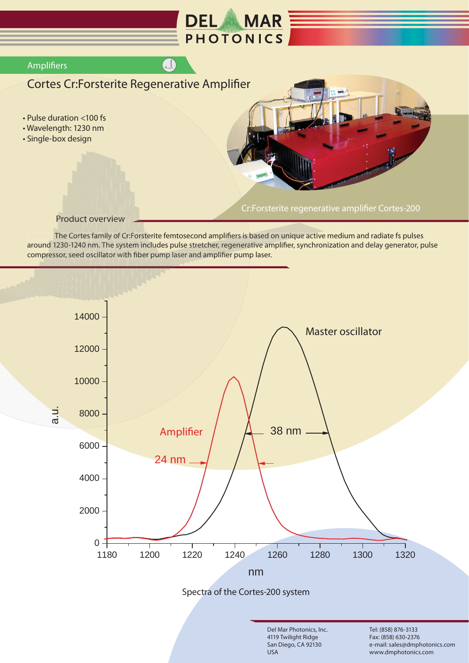

Product overview<br>The Cortes family of Cr:Forsterite femtosecond amplifiers is based on unique active medium and radiate fs pulses<br>around 1230-1240 nm. The system includes pulse stretcher, regenerative amplifier, synchroniz Product overview<br>
The Cortes family of Cr:Forsterite femtosecond amplifiers is based<br>
around 1230-1240 nm. The system includes pulse stretcher, regenerative an<br>
compressor, seed oscillator with fiber pump laser and amplifi r e vi<br>ly<br>to <mark>ıct over</mark><br>rtes fami<br>40 nm. T er<br>mi<br>. T<br>Ila O\<br>5 fa<br>0sc



San Diego, CA 92130

USA

Fax: (858) 630-2376 e-mail: sales@dmphotonics.com www.dmphotonics.com